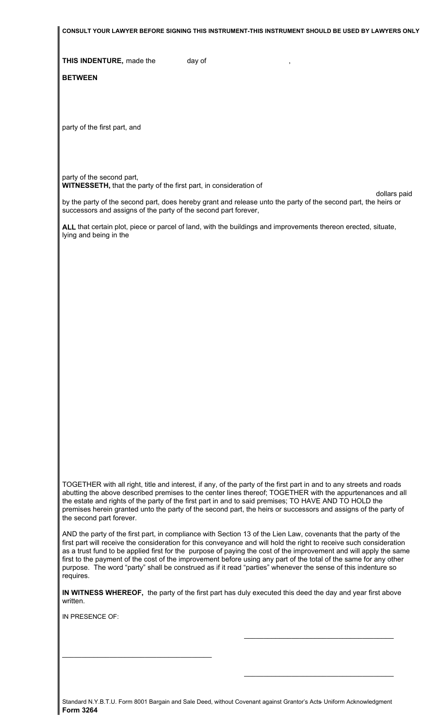| CONSULT YOUR LAWYER BEFORE SIGNING THIS INSTRUMENT-THIS INSTRUMENT SHOULD BE USED BY LAWYERS ONLY                                                                                                                                                                                                                                                                                                                                                                                                                                                                                                            |  |
|--------------------------------------------------------------------------------------------------------------------------------------------------------------------------------------------------------------------------------------------------------------------------------------------------------------------------------------------------------------------------------------------------------------------------------------------------------------------------------------------------------------------------------------------------------------------------------------------------------------|--|
| THIS INDENTURE, made the<br>day of                                                                                                                                                                                                                                                                                                                                                                                                                                                                                                                                                                           |  |
| <b>BETWEEN</b>                                                                                                                                                                                                                                                                                                                                                                                                                                                                                                                                                                                               |  |
|                                                                                                                                                                                                                                                                                                                                                                                                                                                                                                                                                                                                              |  |
| party of the first part, and                                                                                                                                                                                                                                                                                                                                                                                                                                                                                                                                                                                 |  |
|                                                                                                                                                                                                                                                                                                                                                                                                                                                                                                                                                                                                              |  |
|                                                                                                                                                                                                                                                                                                                                                                                                                                                                                                                                                                                                              |  |
| party of the second part,<br>WITNESSETH, that the party of the first part, in consideration of                                                                                                                                                                                                                                                                                                                                                                                                                                                                                                               |  |
| dollars paid<br>by the party of the second part, does hereby grant and release unto the party of the second part, the heirs or<br>successors and assigns of the party of the second part forever,                                                                                                                                                                                                                                                                                                                                                                                                            |  |
| ALL that certain plot, piece or parcel of land, with the buildings and improvements thereon erected, situate,<br>lying and being in the                                                                                                                                                                                                                                                                                                                                                                                                                                                                      |  |
|                                                                                                                                                                                                                                                                                                                                                                                                                                                                                                                                                                                                              |  |
|                                                                                                                                                                                                                                                                                                                                                                                                                                                                                                                                                                                                              |  |
|                                                                                                                                                                                                                                                                                                                                                                                                                                                                                                                                                                                                              |  |
|                                                                                                                                                                                                                                                                                                                                                                                                                                                                                                                                                                                                              |  |
|                                                                                                                                                                                                                                                                                                                                                                                                                                                                                                                                                                                                              |  |
|                                                                                                                                                                                                                                                                                                                                                                                                                                                                                                                                                                                                              |  |
|                                                                                                                                                                                                                                                                                                                                                                                                                                                                                                                                                                                                              |  |
|                                                                                                                                                                                                                                                                                                                                                                                                                                                                                                                                                                                                              |  |
|                                                                                                                                                                                                                                                                                                                                                                                                                                                                                                                                                                                                              |  |
|                                                                                                                                                                                                                                                                                                                                                                                                                                                                                                                                                                                                              |  |
|                                                                                                                                                                                                                                                                                                                                                                                                                                                                                                                                                                                                              |  |
|                                                                                                                                                                                                                                                                                                                                                                                                                                                                                                                                                                                                              |  |
| TOGETHER with all right, title and interest, if any, of the party of the first part in and to any streets and roads<br>abutting the above described premises to the center lines thereof; TOGETHER with the appurtenances and all<br>the estate and rights of the party of the first part in and to said premises; TO HAVE AND TO HOLD the<br>premises herein granted unto the party of the second part, the heirs or successors and assigns of the party of<br>the second part forever.                                                                                                                     |  |
| AND the party of the first part, in compliance with Section 13 of the Lien Law, covenants that the party of the<br>first part will receive the consideration for this conveyance and will hold the right to receive such consideration<br>as a trust fund to be applied first for the purpose of paying the cost of the improvement and will apply the same<br>first to the payment of the cost of the improvement before using any part of the total of the same for any other<br>purpose. The word "party" shall be construed as if it read "parties" whenever the sense of this indenture so<br>requires. |  |
| IN WITNESS WHEREOF, the party of the first part has duly executed this deed the day and year first above<br>written.                                                                                                                                                                                                                                                                                                                                                                                                                                                                                         |  |
| IN PRESENCE OF:                                                                                                                                                                                                                                                                                                                                                                                                                                                                                                                                                                                              |  |
|                                                                                                                                                                                                                                                                                                                                                                                                                                                                                                                                                                                                              |  |

Standard N.Y.B.T.U. Form 8001 Bargain and Sale Deed, without Covenant against Grantor's Acts-Uniform Acknowledgment **Form 3264** 

\_\_\_\_\_\_\_\_\_\_\_\_\_\_\_\_\_\_\_\_\_\_\_\_\_\_\_\_\_\_\_\_\_\_\_\_\_\_

\_\_\_\_\_\_\_\_\_\_\_\_\_\_\_\_\_\_\_\_\_\_\_\_\_\_\_\_\_\_\_\_\_\_\_\_\_\_